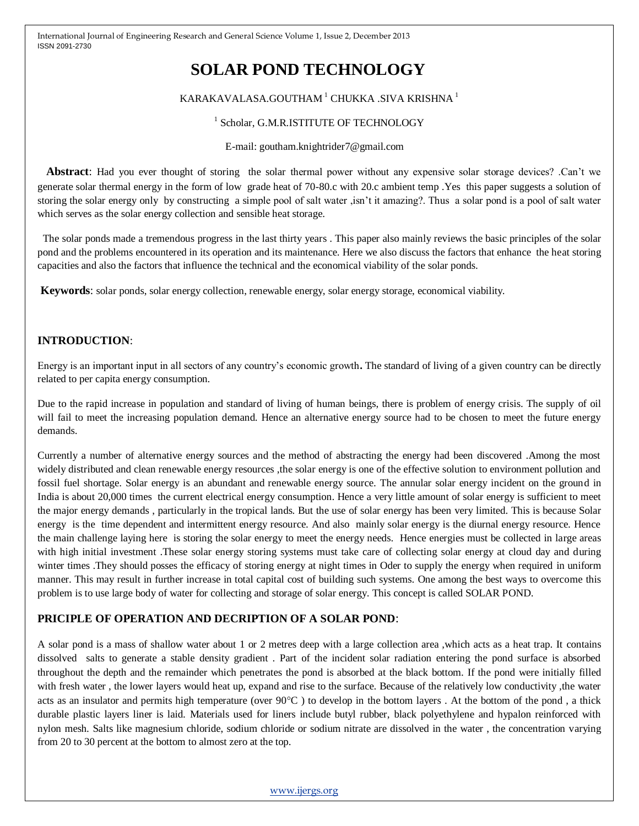# **SOLAR POND TECHNOLOGY**

# KARAKAVALASA.GOUTHAM<sup>1</sup> CHUKKA .SIVA KRISHNA<sup>1</sup>

#### <sup>1</sup> Scholar, G.M.R.ISTITUTE OF TECHNOLOGY

E-mail: goutham.knightrider7@gmail.com

 **Abstract**: Had you ever thought of storing the solar thermal power without any expensive solar storage devices? .Can't we generate solar thermal energy in the form of low grade heat of 70-80.c with 20.c ambient temp .Yes this paper suggests a solution of storing the solar energy only by constructing a simple pool of salt water ,isn't it amazing?. Thus a solar pond is a pool of salt water which serves as the solar energy collection and sensible heat storage.

 The solar ponds made a tremendous progress in the last thirty years . This paper also mainly reviews the basic principles of the solar pond and the problems encountered in its operation and its maintenance. Here we also discuss the factors that enhance the heat storing capacities and also the factors that influence the technical and the economical viability of the solar ponds.

**Keywords**: solar ponds, solar energy collection, renewable energy, solar energy storage, economical viability.

### **INTRODUCTION**:

Energy is an important input in all sectors of any country's economic growth**.** The standard of living of a given country can be directly related to per capita energy consumption.

Due to the rapid increase in population and standard of living of human beings, there is problem of energy crisis. The supply of oil will fail to meet the increasing population demand. Hence an alternative energy source had to be chosen to meet the future energy demands.

Currently a number of alternative energy sources and the method of abstracting the energy had been discovered .Among the most widely distributed and clean renewable energy resources ,the solar energy is one of the effective solution to environment pollution and fossil fuel shortage. Solar energy is an abundant and renewable energy source. The annular solar energy incident on the ground in India is about 20,000 times the current electrical energy consumption. Hence a very little amount of solar energy is sufficient to meet the major energy demands , particularly in the tropical lands. But the use of solar energy has been very limited. This is because Solar energy is the time dependent and intermittent energy resource. And also mainly solar energy is the diurnal energy resource. Hence the main challenge laying here is storing the solar energy to meet the energy needs. Hence energies must be collected in large areas with high initial investment. These solar energy storing systems must take care of collecting solar energy at cloud day and during winter times .They should posses the efficacy of storing energy at night times in Oder to supply the energy when required in uniform manner. This may result in further increase in total capital cost of building such systems. One among the best ways to overcome this problem is to use large body of water for collecting and storage of solar energy. This concept is called SOLAR POND.

# **PRICIPLE OF OPERATION AND DECRIPTION OF A SOLAR POND**:

A solar pond is a mass of shallow water about 1 or 2 metres deep with a large collection area ,which acts as a heat trap. It contains dissolved salts to generate a stable density gradient . Part of the incident solar radiation entering the pond surface is absorbed throughout the depth and the remainder which penetrates the pond is absorbed at the black bottom. If the pond were initially filled with fresh water , the lower layers would heat up, expand and rise to the surface. Because of the relatively low conductivity ,the water acts as an insulator and permits high temperature (over  $90^{\circ}$ C) to develop in the bottom layers. At the bottom of the pond, a thick durable plastic layers liner is laid. Materials used for liners include butyl rubber, black polyethylene and hypalon reinforced with nylon mesh. Salts like magnesium chloride, sodium chloride or sodium nitrate are dissolved in the water , the concentration varying from 20 to 30 percent at the bottom to almost zero at the top.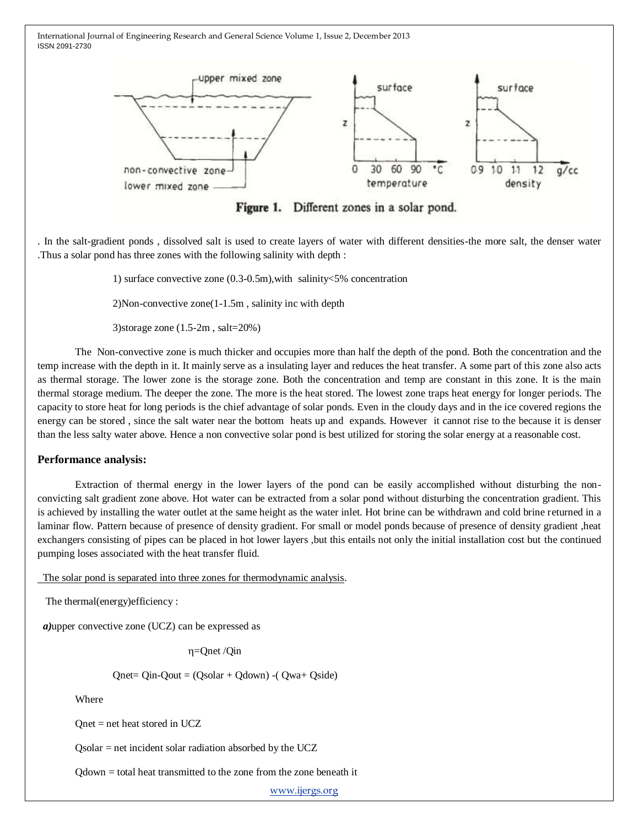

Figure 1. Different zones in a solar pond.

. In the salt-gradient ponds , dissolved salt is used to create layers of water with different densities-the more salt, the denser water .Thus a solar pond has three zones with the following salinity with depth :

1) surface convective zone (0.3-0.5m),with salinity<5% concentration

2)Non-convective zone(1-1.5m , salinity inc with depth

3)storage zone (1.5-2m , salt=20%)

The Non-convective zone is much thicker and occupies more than half the depth of the pond. Both the concentration and the temp increase with the depth in it. It mainly serve as a insulating layer and reduces the heat transfer. A some part of this zone also acts as thermal storage. The lower zone is the storage zone. Both the concentration and temp are constant in this zone. It is the main thermal storage medium. The deeper the zone. The more is the heat stored. The lowest zone traps heat energy for longer periods. The capacity to store heat for long periods is the chief advantage of solar ponds. Even in the cloudy days and in the ice covered regions the energy can be stored , since the salt water near the bottom heats up and expands. However it cannot rise to the because it is denser than the less salty water above. Hence a non convective solar pond is best utilized for storing the solar energy at a reasonable cost.

#### **Performance analysis:**

Extraction of thermal energy in the lower layers of the pond can be easily accomplished without disturbing the nonconvicting salt gradient zone above. Hot water can be extracted from a solar pond without disturbing the concentration gradient. This is achieved by installing the water outlet at the same height as the water inlet. Hot brine can be withdrawn and cold brine returned in a laminar flow. Pattern because of presence of density gradient. For small or model ponds because of presence of density gradient ,heat exchangers consisting of pipes can be placed in hot lower layers ,but this entails not only the initial installation cost but the continued pumping loses associated with the heat transfer fluid.

The solar pond is separated into three zones for thermodynamic analysis.

The thermal(energy)efficiency :

*a)*upper convective zone (UCZ) can be expressed as

 $\eta$ =Qnet /Qin

 $Qnet = Qin - Qu$  =  $(Qsolar + Qdown) - (Qwa + Qside)$ 

Where

Qnet = net heat stored in UCZ

Qsolar = net incident solar radiation absorbed by the UCZ

Qdown = total heat transmitted to the zone from the zone beneath it

[www.ijergs.org](http://www.ijergs.org/)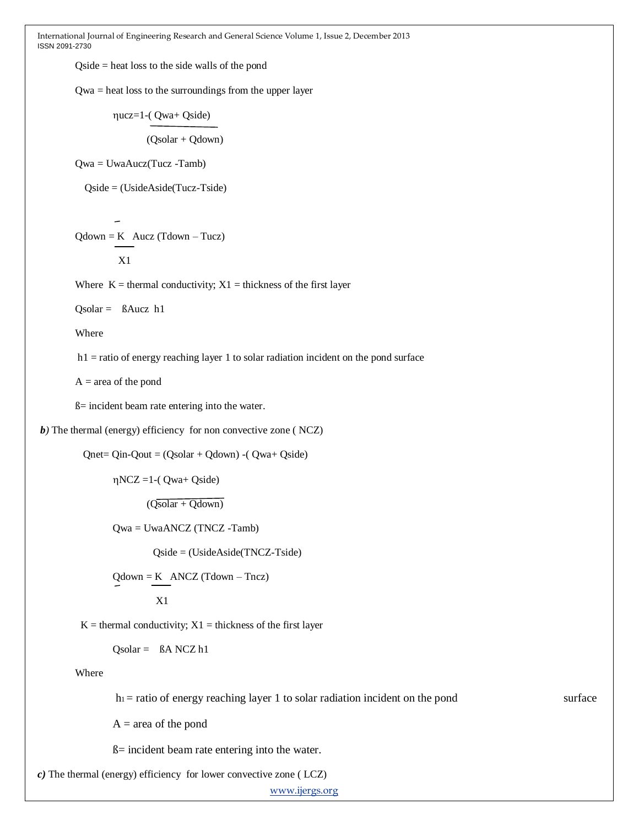Qside = heat loss to the side walls of the pond

Qwa = heat loss to the surroundings from the upper layer

ucz=1-( Qwa+ Qside) (Qsolar + Qdown)

Qwa = UwaAucz(Tucz -Tamb)

Qside = (UsideAside(Tucz-Tside)

$$
Qdown = K \quad Aucz (Tdown - Tucz)
$$

X1

Where  $K =$  thermal conductivity;  $X1 =$  thickness of the first layer

Qsolar = ßAucz h1

Where

 $h1$  = ratio of energy reaching layer 1 to solar radiation incident on the pond surface

 $A = \text{area of the pond}$ 

ß= incident beam rate entering into the water.

*b*) The thermal (energy) efficiency for non convective zone ( NCZ)

 $Onet = Qin-Oout = (Osolar + Odown) - (Owa + Oside)$ 

 $\eta$ NCZ =1-( $\eta$ wa+ Qside)

 $(Q\overline{\text{solar} + Q\text{down}})$ 

Qwa = UwaANCZ (TNCZ -Tamb)

Qside = (UsideAside(TNCZ-Tside)

 $\text{Qdown} = \text{K}$  ANCZ (Tdown – Tncz)  $X<sub>1</sub>$ 

 $K =$  thermal conductivity;  $X1 =$  thickness of the first layer

Qsolar = ßA NCZ h1

Where

 $h_1$  = ratio of energy reaching layer 1 to solar radiation incident on the pond surface

 $A = area of the pond$ 

ß= incident beam rate entering into the water.

*c)* The thermal (energy) efficiency for lower convective zone ( LCZ)

[www.ijergs.org](http://www.ijergs.org/)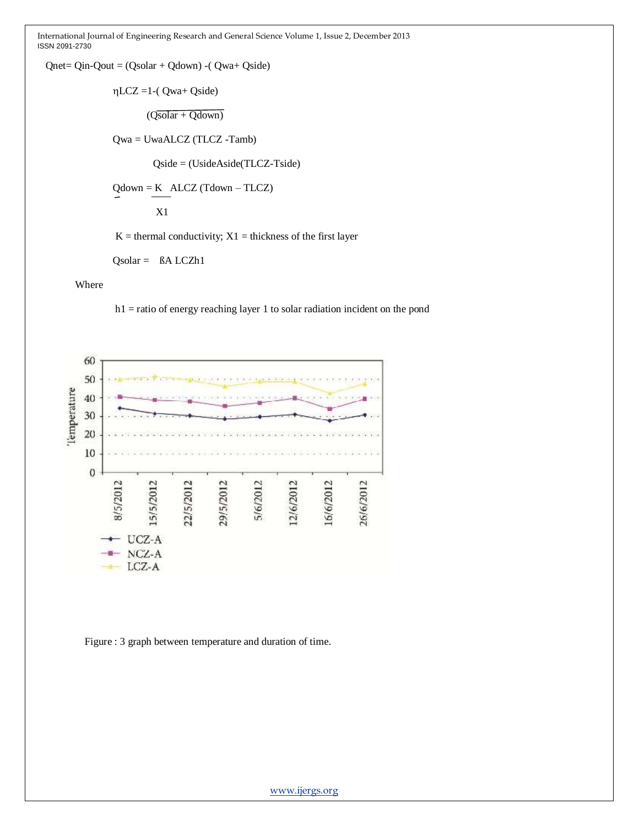Qnet= Qin-Qout = (Qsolar + Qdown) -( Qwa+ Qside)

 $\eta$ LCZ =1-( $Qwa+Qside$ )

 $(Qsolar + Qdown)$ 

Qwa = UwaALCZ (TLCZ -Tamb)

Qside = (UsideAside(TLCZ-Tside)

Qdown = K ALCZ (Tdown – TLCZ)

X1

 $K =$  thermal conductivity;  $X1 =$  thickness of the first layer

 $Qsolar = BA LCZh1$ 

#### Where

h1 = ratio of energy reaching layer 1 to solar radiation incident on the pond



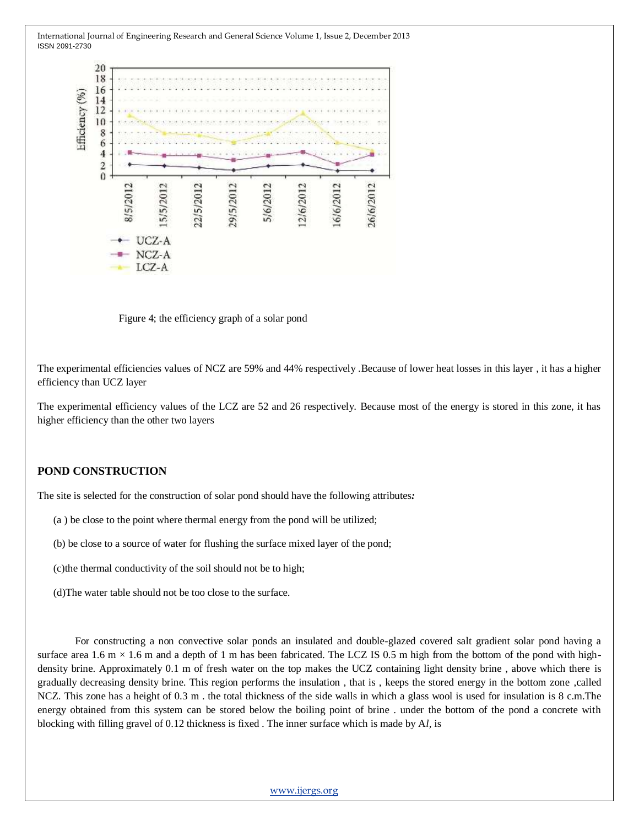

Figure 4; the efficiency graph of a solar pond

The experimental efficiencies values of NCZ are 59% and 44% respectively .Because of lower heat losses in this layer , it has a higher efficiency than UCZ layer

The experimental efficiency values of the LCZ are 52 and 26 respectively. Because most of the energy is stored in this zone, it has higher efficiency than the other two layers

#### **POND CONSTRUCTION**

The site is selected for the construction of solar pond should have the following attributes*:*

- (a ) be close to the point where thermal energy from the pond will be utilized;
- (b) be close to a source of water for flushing the surface mixed layer of the pond;

(c)the thermal conductivity of the soil should not be to high;

(d)The water table should not be too close to the surface.

For constructing a non convective solar ponds an insulated and double-glazed covered salt gradient solar pond having a surface area 1.6 m  $\times$  1.6 m and a depth of 1 m has been fabricated. The LCZ IS 0.5 m high from the bottom of the pond with highdensity brine. Approximately 0.1 m of fresh water on the top makes the UCZ containing light density brine , above which there is gradually decreasing density brine. This region performs the insulation , that is , keeps the stored energy in the bottom zone ,called NCZ. This zone has a height of 0.3 m . the total thickness of the side walls in which a glass wool is used for insulation is 8 c.m.The energy obtained from this system can be stored below the boiling point of brine . under the bottom of the pond a concrete with blocking with filling gravel of 0.12 thickness is fixed . The inner surface which is made by A*l,* is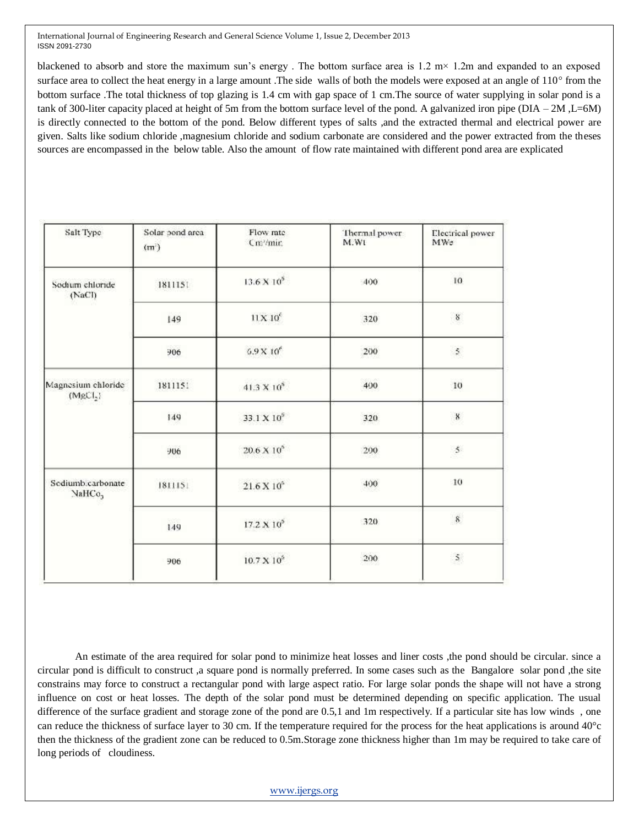blackened to absorb and store the maximum sun's energy. The bottom surface area is  $1.2 \text{ m} \times 1.2 \text{ m}$  and expanded to an exposed surface area to collect the heat energy in a large amount .The side walls of both the models were exposed at an angle of 110° from the bottom surface .The total thickness of top glazing is 1.4 cm with gap space of 1 cm.The source of water supplying in solar pond is a tank of 300-liter capacity placed at height of 5m from the bottom surface level of the pond. A galvanized iron pipe (DIA – 2M ,L=6M) is directly connected to the bottom of the pond. Below different types of salts ,and the extracted thermal and electrical power are given. Salts like sodium chloride ,magnesium chloride and sodium carbonate are considered and the power extracted from the theses sources are encompassed in the below table. Also the amount of flow rate maintained with different pond area are explicated

| Salt Type                                  | Solar bond area<br>(m) | Flow rate<br>Cm/mir.   | Thermal power<br>M.Wt | Electrical power<br>MWe |
|--------------------------------------------|------------------------|------------------------|-----------------------|-------------------------|
| Sodium chloride<br>(NaCl)                  | 1811151                | $13.6 \times 10^5$     | 400                   | 10                      |
|                                            | 149                    | 11X10 <sup>c</sup>     | 320                   | $\boldsymbol{8}$        |
|                                            | 906                    | $5.9\times10^{6}$      | 200                   | $\mathfrak s$           |
| Magnesium chloride<br>(MgCl <sub>2</sub> ) | 1811151                | $41.3 \times 10^6$     | 400                   | 10                      |
|                                            | 149                    | 33.1 X 10 <sup>6</sup> | 320                   | $\mathbf 8$             |
|                                            | 906                    | $20.6\times10^5$       | 200                   | $\mathfrak s$           |
| Sediumb.carbonate<br>NaHCo <sub>3</sub>    | 1811151                | $21.6 \times 10^{6}$   | 400                   | 10                      |
|                                            | 149                    | $17.2\times10^5$       | 320                   | $\bf 8$                 |
|                                            | 906                    | $10.7 \times 10^6$     | 200                   | 2                       |

An estimate of the area required for solar pond to minimize heat losses and liner costs ,the pond should be circular. since a circular pond is difficult to construct ,a square pond is normally preferred. In some cases such as the Bangalore solar pond ,the site constrains may force to construct a rectangular pond with large aspect ratio. For large solar ponds the shape will not have a strong influence on cost or heat losses. The depth of the solar pond must be determined depending on specific application. The usual difference of the surface gradient and storage zone of the pond are 0.5,1 and 1m respectively. If a particular site has low winds , one can reduce the thickness of surface layer to 30 cm. If the temperature required for the process for the heat applications is around 40°c then the thickness of the gradient zone can be reduced to 0.5m.Storage zone thickness higher than 1m may be required to take care of long periods of cloudiness.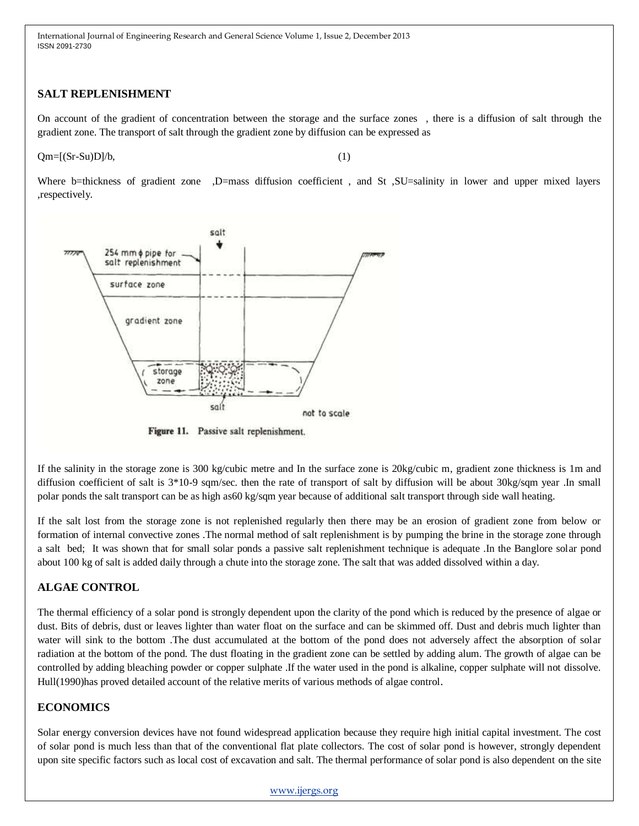## **SALT REPLENISHMENT**

On account of the gradient of concentration between the storage and the surface zones , there is a diffusion of salt through the gradient zone. The transport of salt through the gradient zone by diffusion can be expressed as

 $Qm=[(Sr-Su)D]/b,$  (1)

Where b=thickness of gradient zone ,D=mass diffusion coefficient, and St ,SU=salinity in lower and upper mixed layers ,respectively.



Figure 11. Passive salt replenishment.

If the salinity in the storage zone is 300 kg/cubic metre and In the surface zone is 20kg/cubic m, gradient zone thickness is 1m and diffusion coefficient of salt is  $3*10-9$  sqm/sec. then the rate of transport of salt by diffusion will be about  $30kg/sq$  year .In small polar ponds the salt transport can be as high as60 kg/sqm year because of additional salt transport through side wall heating.

If the salt lost from the storage zone is not replenished regularly then there may be an erosion of gradient zone from below or formation of internal convective zones .The normal method of salt replenishment is by pumping the brine in the storage zone through a salt bed; It was shown that for small solar ponds a passive salt replenishment technique is adequate .In the Banglore solar pond about 100 kg of salt is added daily through a chute into the storage zone. The salt that was added dissolved within a day.

# **ALGAE CONTROL**

The thermal efficiency of a solar pond is strongly dependent upon the clarity of the pond which is reduced by the presence of algae or dust. Bits of debris, dust or leaves lighter than water float on the surface and can be skimmed off. Dust and debris much lighter than water will sink to the bottom .The dust accumulated at the bottom of the pond does not adversely affect the absorption of solar radiation at the bottom of the pond. The dust floating in the gradient zone can be settled by adding alum. The growth of algae can be controlled by adding bleaching powder or copper sulphate .If the water used in the pond is alkaline, copper sulphate will not dissolve. Hull(1990)has proved detailed account of the relative merits of various methods of algae control.

# **ECONOMICS**

Solar energy conversion devices have not found widespread application because they require high initial capital investment. The cost of solar pond is much less than that of the conventional flat plate collectors. The cost of solar pond is however, strongly dependent upon site specific factors such as local cost of excavation and salt. The thermal performance of solar pond is also dependent on the site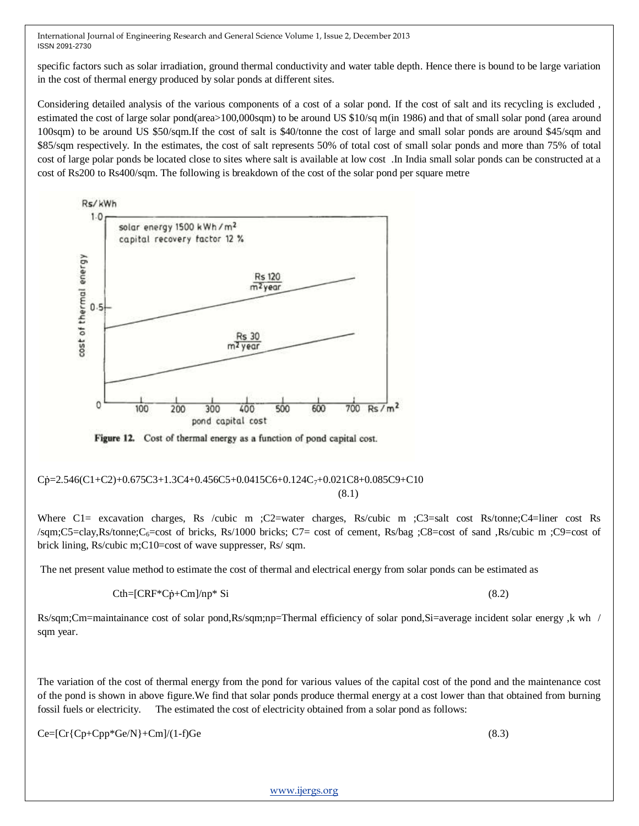specific factors such as solar irradiation, ground thermal conductivity and water table depth. Hence there is bound to be large variation in the cost of thermal energy produced by solar ponds at different sites.

Considering detailed analysis of the various components of a cost of a solar pond. If the cost of salt and its recycling is excluded , estimated the cost of large solar pond(area>100,000sqm) to be around US \$10/sq m(in 1986) and that of small solar pond (area around 100sqm) to be around US \$50/sqm.If the cost of salt is \$40/tonne the cost of large and small solar ponds are around \$45/sqm and \$85/sqm respectively. In the estimates, the cost of salt represents 50% of total cost of small solar ponds and more than 75% of total cost of large polar ponds be located close to sites where salt is available at low cost .In India small solar ponds can be constructed at a cost of Rs200 to Rs400/sqm. The following is breakdown of the cost of the solar pond per square metre



Figure 12. Cost of thermal energy as a function of pond capital cost.

#### $Cp=2.546(C1+C2)+0.675C3+1.3C4+0.456C5+0.0415C6+0.124C_7+0.021C8+0.085C9+C10$ (8.1)

Where C1= excavation charges, Rs /cubic m ;C2=water charges, Rs/cubic m ;C3=salt cost Rs/tonne;C4=liner cost Rs /sqm;C5=clay,Rs/tonne;C6=cost of bricks, Rs/1000 bricks; C7= cost of cement, Rs/bag ;C8=cost of sand ,Rs/cubic m ;C9=cost of brick lining, Rs/cubic m;C10=cost of wave suppresser, Rs/ sqm.

The net present value method to estimate the cost of thermal and electrical energy from solar ponds can be estimated as

$$
Cth=[CRF*C\dot{p}+Cm]/np*Si
$$
\n(8.2)

Rs/sqm;Cm=maintainance cost of solar pond,Rs/sqm;np=Thermal efficiency of solar pond,Si=average incident solar energy ,k wh / sqm year.

The variation of the cost of thermal energy from the pond for various values of the capital cost of the pond and the maintenance cost of the pond is shown in above figure.We find that solar ponds produce thermal energy at a cost lower than that obtained from burning fossil fuels or electricity. The estimated the cost of electricity obtained from a solar pond as follows:

 $Ce=[Cr{Cp+Cpp*Ge/N}+Cm]/(1-f)Ge$  (8.3)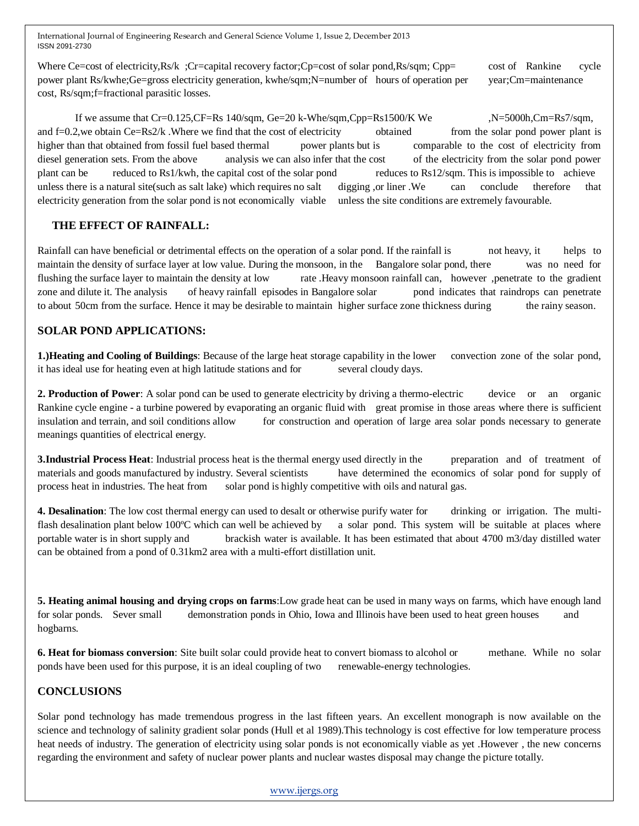Where Ce=cost of electricity,Rs/k ;Cr=capital recovery factor;Cp=cost of solar pond,Rs/sqm; Cpp= cost of Rankine cycle power plant Rs/kwhe;Ge=gross electricity generation, kwhe/sqm;N=number of hours of operation per year;Cm=maintenance cost, Rs/sqm;f=fractional parasitic losses.

If we assume that Cr=0.125, CF=Rs 140/sqm, Ge=20 k-Whe/sqm, Cpp=Rs1500/K We  $N=5000h$ , Cm=Rs7/sqm, and  $f=0.2$ , we obtain Ce=Rs2/k . Where we find that the cost of electricity obtained from the solar pond power plant is higher than that obtained from fossil fuel based thermal power plants but is comparable to the cost of electricity from diesel generation sets. From the above analysis we can also infer that the cost of the electricity from the solar pond power plant can be reduced to Rs1/kwh, the capital cost of the solar pond reduces to Rs12/sqm. This is impossible to achieve unless there is a natural site(such as salt lake) which requires no salt digging ,or liner .We can conclude therefore that electricity generation from the solar pond is not economically viable unless the site conditions are extremely favourable.

## **THE EFFECT OF RAINFALL:**

Rainfall can have beneficial or detrimental effects on the operation of a solar pond. If the rainfall is not heavy, it helps to maintain the density of surface layer at low value. During the monsoon, in the Bangalore solar pond, there was no need for flushing the surface layer to maintain the density at low rate .Heavy monsoon rainfall can, however ,penetrate to the gradient zone and dilute it. The analysis of heavy rainfall episodes in Bangalore solar pond indicates that raindrops can penetrate to about 50cm from the surface. Hence it may be desirable to maintain higher surface zone thickness during the rainy season.

## **SOLAR POND APPLICATIONS:**

**1.)Heating and Cooling of Buildings**: Because of the large heat storage capability in the lower convection zone of the solar pond, it has ideal use for heating even at high latitude stations and for several cloudy days.

**2. Production of Power**: A solar pond can be used to generate electricity by driving a thermo-electric device or an organic Rankine cycle engine - a turbine powered by evaporating an organic fluid with great promise in those areas where there is sufficient insulation and terrain, and soil conditions allow for construction and operation of large area solar ponds necessary to generate meanings quantities of electrical energy.

**3.Industrial Process Heat**: Industrial process heat is the thermal energy used directly in the preparation and of treatment of materials and goods manufactured by industry. Several scientists have determined the economics of solar pond for supply of process heat in industries. The heat from solar pond is highly competitive with oils and natural gas.

**4. Desalination**: The low cost thermal energy can used to desalt or otherwise purify water for drinking or irrigation. The multiflash desalination plant below 100°C which can well be achieved by a solar pond. This system will be suitable at places where portable water is in short supply and brackish water is available. It has been estimated that about 4700 m3/day distilled water can be obtained from a pond of 0.31km2 area with a multi-effort distillation unit.

**5. Heating animal housing and drying crops on farms**:Low grade heat can be used in many ways on farms, which have enough land for solar ponds. Sever small demonstration ponds in Ohio, Iowa and Illinois have been used to heat green houses and hogbarns.

**6. Heat for biomass conversion**: Site built solar could provide heat to convert biomass to alcohol or methane. While no solar ponds have been used for this purpose, it is an ideal coupling of two renewable-energy technologies.

# **CONCLUSIONS**

Solar pond technology has made tremendous progress in the last fifteen years. An excellent monograph is now available on the science and technology of salinity gradient solar ponds (Hull et al 1989).This technology is cost effective for low temperature process heat needs of industry. The generation of electricity using solar ponds is not economically viable as yet .However , the new concerns regarding the environment and safety of nuclear power plants and nuclear wastes disposal may change the picture totally.